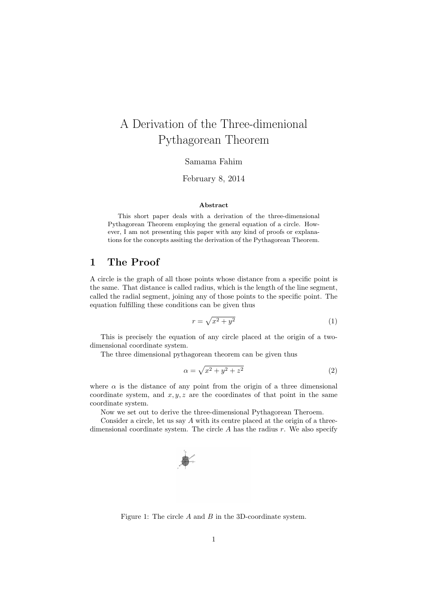## A Derivation of the Three-dimenional Pythagorean Theorem

Samama Fahim

February 8, 2014

## Abstract

This short paper deals with a derivation of the three-dimensional Pythagorean Theorem employing the general equation of a circle. However, I am not presenting this paper with any kind of proofs or explanations for the concepts assiting the derivation of the Pythagorean Theorem.

## 1 The Proof

A circle is the graph of all those points whose distance from a specific point is the same. That distance is called radius, which is the length of the line segment, called the radial segment, joining any of those points to the specific point. The equation fulfilling these conditions can be given thus

$$
r = \sqrt{x^2 + y^2} \tag{1}
$$

This is precisely the equation of any circle placed at the origin of a twodimensional coordinate system.

The three dimensional pythagorean theorem can be given thus

$$
\alpha = \sqrt{x^2 + y^2 + z^2} \tag{2}
$$

where  $\alpha$  is the distance of any point from the origin of a three dimensional coordinate system, and  $x, y, z$  are the coordinates of that point in the same coordinate system.

Now we set out to derive the three-dimensional Pythagorean Theroem.

Consider a circle, let us say A with its centre placed at the origin of a threedimensional coordinate system. The circle  $A$  has the radius  $r$ . We also specify



Figure 1: The circle A and B in the 3D-coordinate system.